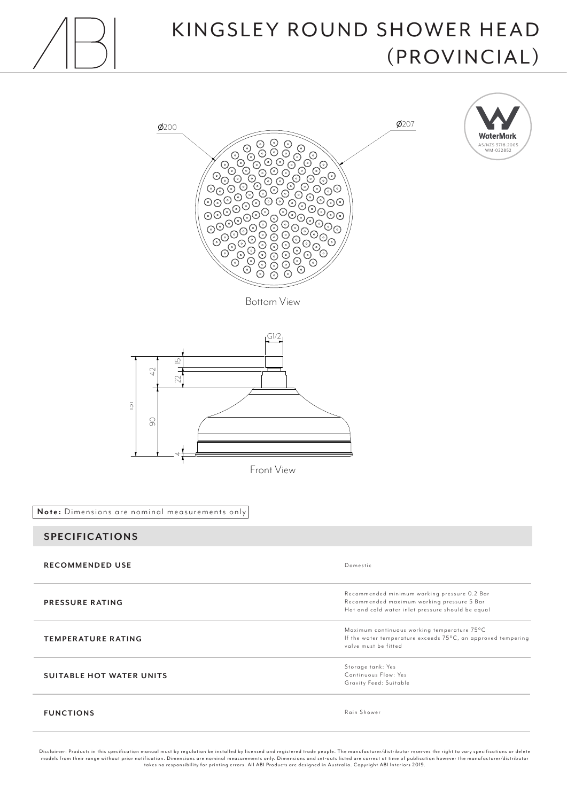

## KINGSLEY ROUND SHOWER HEAD (PROVINCIAL)



Disclaimer: Products in this specification manual must by regulation be installed by licensed and registered trade people. The manufacturer/distributor reserves the right to vary specifications or delete<br>models from their takes no responsibility for printing errors. All ABI Products are designed in Australia. Copyright ABI Interiors 2019.